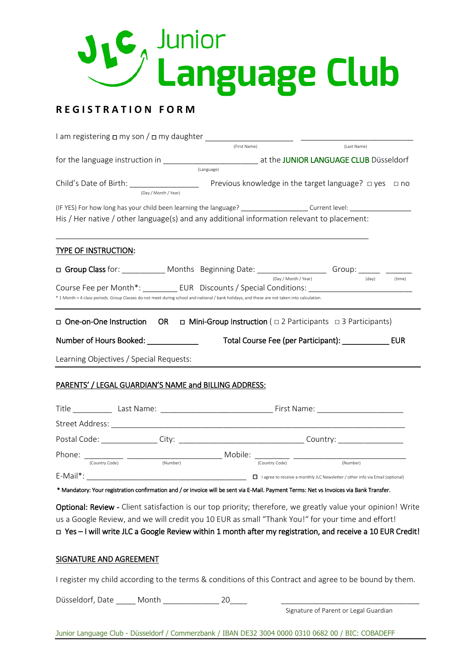

# **R E G I S T R A T I O N F O R M**

| I am registering $\Box$ my son / $\Box$ my daughter                                                                                          |                |                                                                                      |                 |
|----------------------------------------------------------------------------------------------------------------------------------------------|----------------|--------------------------------------------------------------------------------------|-----------------|
|                                                                                                                                              | (First Name)   | (Last Name)                                                                          |                 |
|                                                                                                                                              |                |                                                                                      |                 |
|                                                                                                                                              | (Language)     |                                                                                      |                 |
| (Day / Month / Year)                                                                                                                         |                |                                                                                      |                 |
|                                                                                                                                              |                |                                                                                      |                 |
| His / Her native / other language(s) and any additional information relevant to placement:                                                   |                |                                                                                      |                 |
| <b>TYPE OF INSTRUCTION:</b>                                                                                                                  |                |                                                                                      |                 |
| □ Group Class for: ____________ Months Beginning Date: ____________________ Group: ______ _                                                  |                |                                                                                      |                 |
| Course Fee per Month*: _____________EUR Discounts / Special Conditions: _________                                                            |                | (Day / Month / Year)                                                                 | (day)<br>(time) |
| * 1 Month = 4 class periods. Group Classes do not meet during school and national / bank holidays, and these are not taken into calculation. |                |                                                                                      |                 |
| Learning Objectives / Special Requests:<br>PARENTS' / LEGAL GUARDIAN'S NAME and BILLING ADDRESS:                                             |                |                                                                                      |                 |
|                                                                                                                                              |                |                                                                                      |                 |
|                                                                                                                                              |                |                                                                                      |                 |
| Postal Code: _______________City: ___________________________________Country: _____________________                                          |                |                                                                                      |                 |
|                                                                                                                                              |                |                                                                                      |                 |
| (Country Code)<br>(Number)                                                                                                                   | (Country Code) | (Number)                                                                             |                 |
|                                                                                                                                              |                | $\Box$ I agree to receive a monthly JLC Newsletter / other info via Email (optional) |                 |
| * Mandatory: Your registration confirmation and / or invoice will be sent via E-Mail. Payment Terms: Net vs Invoices via Bank Transfer.      |                |                                                                                      |                 |
| Optional: Review - Client satisfaction is our top priority; therefore, we greatly value your opinion! Write                                  |                |                                                                                      |                 |
| us a Google Review, and we will credit you 10 EUR as small "Thank You!" for your time and effort!                                            |                |                                                                                      |                 |
| ⊔ Yes - I will write JLC a Google Review within 1 month after my registration, and receive a 10 EUR Credit!                                  |                |                                                                                      |                 |

# SIGNATURE AND AGREEMENT

I register my child according to the terms & conditions of this Contract and agree to be bound by them.

Düsseldorf, Date Month 20

Signature of Parent or Legal Guardian

Junior Language Club - Düsseldorf / Commerzbank / IBAN DE32 3004 0000 0310 0682 00 / BIC: COBADEFF